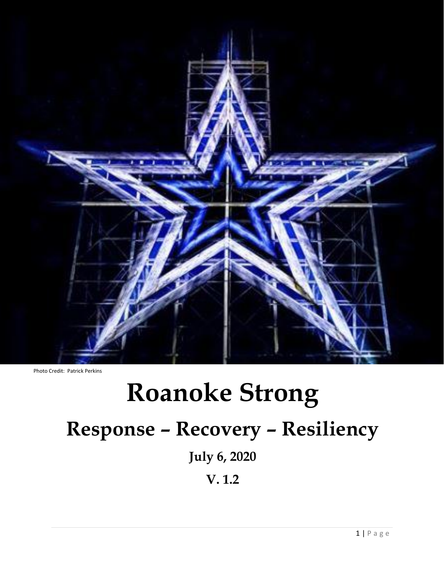

Photo Credit: Patrick Perkins

# **Roanoke Strong**

## **Response – Recovery – Resiliency**

### **July 6, 2020**

**V. 1.2**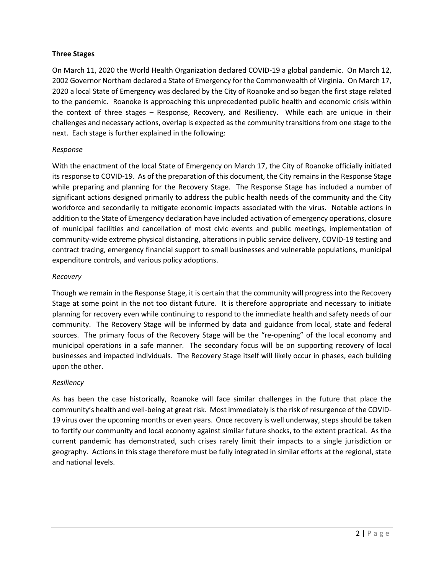#### **Three Stages**

On March 11, 2020 the World Health Organization declared COVID-19 a global pandemic. On March 12, 2002 Governor Northam declared a State of Emergency for the Commonwealth of Virginia. On March 17, 2020 a local State of Emergency was declared by the City of Roanoke and so began the first stage related to the pandemic. Roanoke is approaching this unprecedented public health and economic crisis within the context of three stages – Response, Recovery, and Resiliency. While each are unique in their challenges and necessary actions, overlap is expected as the community transitions from one stage to the next. Each stage is further explained in the following:

#### *Response*

With the enactment of the local State of Emergency on March 17, the City of Roanoke officially initiated its response to COVID-19. As of the preparation of this document, the City remains in the Response Stage while preparing and planning for the Recovery Stage. The Response Stage has included a number of significant actions designed primarily to address the public health needs of the community and the City workforce and secondarily to mitigate economic impacts associated with the virus. Notable actions in addition to the State of Emergency declaration have included activation of emergency operations, closure of municipal facilities and cancellation of most civic events and public meetings, implementation of community-wide extreme physical distancing, alterations in public service delivery, COVID-19 testing and contract tracing, emergency financial support to small businesses and vulnerable populations, municipal expenditure controls, and various policy adoptions.

#### *Recovery*

Though we remain in the Response Stage, it is certain that the community will progress into the Recovery Stage at some point in the not too distant future. It is therefore appropriate and necessary to initiate planning for recovery even while continuing to respond to the immediate health and safety needs of our community. The Recovery Stage will be informed by data and guidance from local, state and federal sources. The primary focus of the Recovery Stage will be the "re-opening" of the local economy and municipal operations in a safe manner. The secondary focus will be on supporting recovery of local businesses and impacted individuals. The Recovery Stage itself will likely occur in phases, each building upon the other.

#### *Resiliency*

As has been the case historically, Roanoke will face similar challenges in the future that place the community's health and well-being at great risk. Most immediately is the risk of resurgence of the COVID-19 virus over the upcoming months or even years. Once recovery is well underway, steps should be taken to fortify our community and local economy against similar future shocks, to the extent practical. As the current pandemic has demonstrated, such crises rarely limit their impacts to a single jurisdiction or geography. Actions in this stage therefore must be fully integrated in similar efforts at the regional, state and national levels.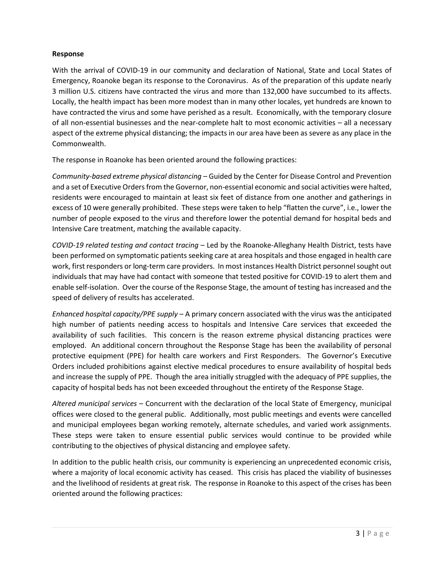#### **Response**

With the arrival of COVID-19 in our community and declaration of National, State and Local States of Emergency, Roanoke began its response to the Coronavirus. As of the preparation of this update nearly 3 million U.S. citizens have contracted the virus and more than 132,000 have succumbed to its affects. Locally, the health impact has been more modest than in many other locales, yet hundreds are known to have contracted the virus and some have perished as a result. Economically, with the temporary closure of all non-essential businesses and the near-complete halt to most economic activities – all a necessary aspect of the extreme physical distancing; the impacts in our area have been as severe as any place in the Commonwealth.

The response in Roanoke has been oriented around the following practices:

*Community-based extreme physical distancing* – Guided by the Center for Disease Control and Prevention and a set of Executive Orders from the Governor, non-essential economic and social activities were halted, residents were encouraged to maintain at least six feet of distance from one another and gatherings in excess of 10 were generally prohibited. These steps were taken to help "flatten the curve", i.e., lower the number of people exposed to the virus and therefore lower the potential demand for hospital beds and Intensive Care treatment, matching the available capacity.

*COVID-19 related testing and contact tracing* – Led by the Roanoke-Alleghany Health District, tests have been performed on symptomatic patients seeking care at area hospitals and those engaged in health care work, first responders or long-term care providers. In most instances Health District personnel sought out individuals that may have had contact with someone that tested positive for COVID-19 to alert them and enable self-isolation. Over the course of the Response Stage, the amount of testing has increased and the speed of delivery of results has accelerated.

*Enhanced hospital capacity/PPE supply* – A primary concern associated with the virus was the anticipated high number of patients needing access to hospitals and Intensive Care services that exceeded the availability of such facilities. This concern is the reason extreme physical distancing practices were employed. An additional concern throughout the Response Stage has been the availability of personal protective equipment (PPE) for health care workers and First Responders. The Governor's Executive Orders included prohibitions against elective medical procedures to ensure availability of hospital beds and increase the supply of PPE. Though the area initially struggled with the adequacy of PPE supplies, the capacity of hospital beds has not been exceeded throughout the entirety of the Response Stage.

*Altered municipal services* – Concurrent with the declaration of the local State of Emergency, municipal offices were closed to the general public. Additionally, most public meetings and events were cancelled and municipal employees began working remotely, alternate schedules, and varied work assignments. These steps were taken to ensure essential public services would continue to be provided while contributing to the objectives of physical distancing and employee safety.

In addition to the public health crisis, our community is experiencing an unprecedented economic crisis, where a majority of local economic activity has ceased. This crisis has placed the viability of businesses and the livelihood of residents at great risk. The response in Roanoke to this aspect of the crises has been oriented around the following practices: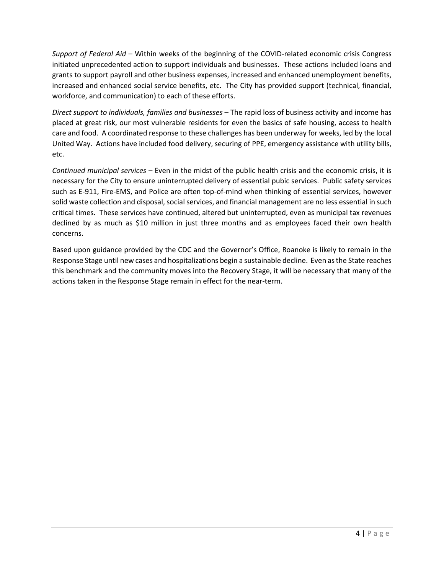*Support of Federal Aid* – Within weeks of the beginning of the COVID-related economic crisis Congress initiated unprecedented action to support individuals and businesses. These actions included loans and grants to support payroll and other business expenses, increased and enhanced unemployment benefits, increased and enhanced social service benefits, etc. The City has provided support (technical, financial, workforce, and communication) to each of these efforts.

*Direct support to individuals, families and businesses* – The rapid loss of business activity and income has placed at great risk, our most vulnerable residents for even the basics of safe housing, access to health care and food. A coordinated response to these challenges has been underway for weeks, led by the local United Way. Actions have included food delivery, securing of PPE, emergency assistance with utility bills, etc.

*Continued municipal services* – Even in the midst of the public health crisis and the economic crisis, it is necessary for the City to ensure uninterrupted delivery of essential pubic services. Public safety services such as E-911, Fire-EMS, and Police are often top-of-mind when thinking of essential services, however solid waste collection and disposal, social services, and financial management are no less essential in such critical times. These services have continued, altered but uninterrupted, even as municipal tax revenues declined by as much as \$10 million in just three months and as employees faced their own health concerns.

Based upon guidance provided by the CDC and the Governor's Office, Roanoke is likely to remain in the Response Stage until new cases and hospitalizations begin a sustainable decline. Even as the State reaches this benchmark and the community moves into the Recovery Stage, it will be necessary that many of the actions taken in the Response Stage remain in effect for the near-term.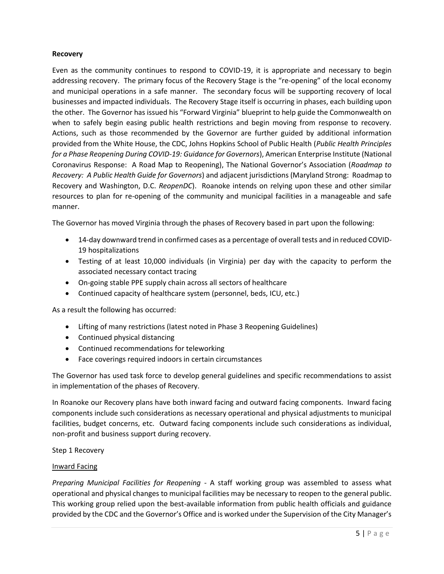#### **Recovery**

Even as the community continues to respond to COVID-19, it is appropriate and necessary to begin addressing recovery. The primary focus of the Recovery Stage is the "re-opening" of the local economy and municipal operations in a safe manner. The secondary focus will be supporting recovery of local businesses and impacted individuals. The Recovery Stage itself is occurring in phases, each building upon the other. The Governor has issued his "Forward Virginia" blueprint to help guide the Commonwealth on when to safely begin easing public health restrictions and begin moving from response to recovery. Actions, such as those recommended by the Governor are further guided by additional information provided from the White House, the CDC, Johns Hopkins School of Public Health (*Public Health Principles for a Phase Reopening During COVID-19: Guidance for Governors*), American Enterprise Institute (National Coronavirus Response: A Road Map to Reopening), The National Governor's Association (*Roadmap to Recovery: A Public Health Guide for Governors*) and adjacent jurisdictions (Maryland Strong: Roadmap to Recovery and Washington, D.C. *ReopenDC*). Roanoke intends on relying upon these and other similar resources to plan for re-opening of the community and municipal facilities in a manageable and safe manner.

The Governor has moved Virginia through the phases of Recovery based in part upon the following:

- 14-day downward trend in confirmed cases as a percentage of overall tests and in reduced COVID-19 hospitalizations
- Testing of at least 10,000 individuals (in Virginia) per day with the capacity to perform the associated necessary contact tracing
- On-going stable PPE supply chain across all sectors of healthcare
- Continued capacity of healthcare system (personnel, beds, ICU, etc.)

As a result the following has occurred:

- Lifting of many restrictions (latest noted in Phase 3 Reopening Guidelines)
- Continued physical distancing
- Continued recommendations for teleworking
- Face coverings required indoors in certain circumstances

The Governor has used task force to develop general guidelines and specific recommendations to assist in implementation of the phases of Recovery.

In Roanoke our Recovery plans have both inward facing and outward facing components. Inward facing components include such considerations as necessary operational and physical adjustments to municipal facilities, budget concerns, etc. Outward facing components include such considerations as individual, non-profit and business support during recovery.

#### Step 1 Recovery

#### Inward Facing

*Preparing Municipal Facilities for Reopening* - A staff working group was assembled to assess what operational and physical changes to municipal facilities may be necessary to reopen to the general public. This working group relied upon the best-available information from public health officials and guidance provided by the CDC and the Governor's Office and is worked under the Supervision of the City Manager's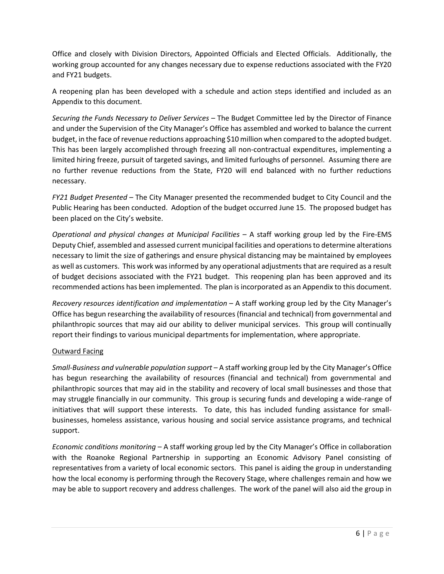Office and closely with Division Directors, Appointed Officials and Elected Officials. Additionally, the working group accounted for any changes necessary due to expense reductions associated with the FY20 and FY21 budgets.

A reopening plan has been developed with a schedule and action steps identified and included as an Appendix to this document.

*Securing the Funds Necessary to Deliver Services* – The Budget Committee led by the Director of Finance and under the Supervision of the City Manager's Office has assembled and worked to balance the current budget, in the face of revenue reductions approaching \$10 million when compared to the adopted budget. This has been largely accomplished through freezing all non-contractual expenditures, implementing a limited hiring freeze, pursuit of targeted savings, and limited furloughs of personnel. Assuming there are no further revenue reductions from the State, FY20 will end balanced with no further reductions necessary.

*FY21 Budget Presented* – The City Manager presented the recommended budget to City Council and the Public Hearing has been conducted. Adoption of the budget occurred June 15. The proposed budget has been placed on the City's website.

*Operational and physical changes at Municipal Facilities* – A staff working group led by the Fire-EMS Deputy Chief, assembled and assessed current municipal facilities and operations to determine alterations necessary to limit the size of gatherings and ensure physical distancing may be maintained by employees as well as customers. This work wasinformed by any operational adjustments that are required as a result of budget decisions associated with the FY21 budget. This reopening plan has been approved and its recommended actions has been implemented. The plan is incorporated as an Appendix to this document.

*Recovery resources identification and implementation* – A staff working group led by the City Manager's Office has begun researching the availability of resources (financial and technical) from governmental and philanthropic sources that may aid our ability to deliver municipal services. This group will continually report their findings to various municipal departments for implementation, where appropriate.

#### Outward Facing

*Small-Business and vulnerable population support* – A staff working group led by the City Manager's Office has begun researching the availability of resources (financial and technical) from governmental and philanthropic sources that may aid in the stability and recovery of local small businesses and those that may struggle financially in our community. This group is securing funds and developing a wide-range of initiatives that will support these interests. To date, this has included funding assistance for smallbusinesses, homeless assistance, various housing and social service assistance programs, and technical support.

*Economic conditions monitoring* – A staff working group led by the City Manager's Office in collaboration with the Roanoke Regional Partnership in supporting an Economic Advisory Panel consisting of representatives from a variety of local economic sectors. This panel is aiding the group in understanding how the local economy is performing through the Recovery Stage, where challenges remain and how we may be able to support recovery and address challenges. The work of the panel will also aid the group in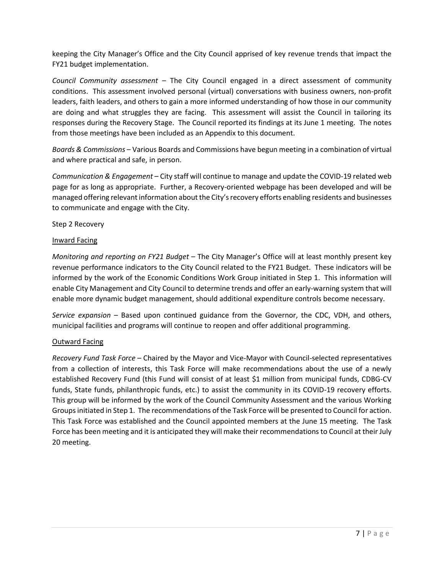keeping the City Manager's Office and the City Council apprised of key revenue trends that impact the FY21 budget implementation.

*Council Community assessment* – The City Council engaged in a direct assessment of community conditions. This assessment involved personal (virtual) conversations with business owners, non-profit leaders, faith leaders, and others to gain a more informed understanding of how those in our community are doing and what struggles they are facing. This assessment will assist the Council in tailoring its responses during the Recovery Stage. The Council reported its findings at its June 1 meeting. The notes from those meetings have been included as an Appendix to this document.

*Boards & Commissions* – Various Boards and Commissions have begun meeting in a combination of virtual and where practical and safe, in person.

*Communication & Engagement* – City staff will continue to manage and update the COVID-19 related web page for as long as appropriate. Further, a Recovery-oriented webpage has been developed and will be managed offering relevant information about the City's recovery efforts enabling residents and businesses to communicate and engage with the City.

Step 2 Recovery

#### Inward Facing

*Monitoring and reporting on FY21 Budget* – The City Manager's Office will at least monthly present key revenue performance indicators to the City Council related to the FY21 Budget. These indicators will be informed by the work of the Economic Conditions Work Group initiated in Step 1. This information will enable City Management and City Council to determine trends and offer an early-warning system that will enable more dynamic budget management, should additional expenditure controls become necessary.

*Service expansion* – Based upon continued guidance from the Governor, the CDC, VDH, and others, municipal facilities and programs will continue to reopen and offer additional programming.

#### Outward Facing

*Recovery Fund Task Force* – Chaired by the Mayor and Vice-Mayor with Council-selected representatives from a collection of interests, this Task Force will make recommendations about the use of a newly established Recovery Fund (this Fund will consist of at least \$1 million from municipal funds, CDBG-CV funds, State funds, philanthropic funds, etc.) to assist the community in its COVID-19 recovery efforts. This group will be informed by the work of the Council Community Assessment and the various Working Groups initiated in Step 1. The recommendations of the Task Force will be presented to Council for action. This Task Force was established and the Council appointed members at the June 15 meeting. The Task Force has been meeting and it is anticipated they will make their recommendations to Council at their July 20 meeting.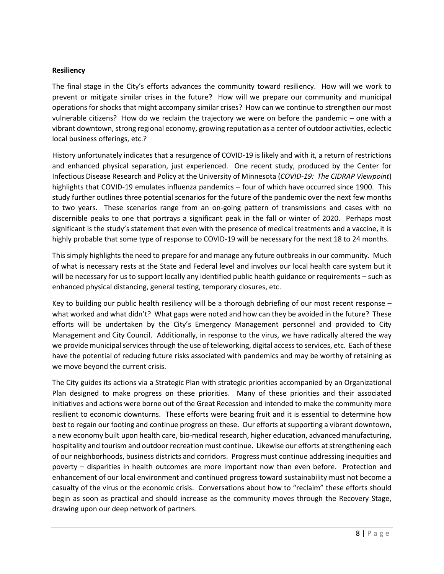#### **Resiliency**

The final stage in the City's efforts advances the community toward resiliency. How will we work to prevent or mitigate similar crises in the future? How will we prepare our community and municipal operations for shocks that might accompany similar crises? How can we continue to strengthen our most vulnerable citizens? How do we reclaim the trajectory we were on before the pandemic – one with a vibrant downtown, strong regional economy, growing reputation as a center of outdoor activities, eclectic local business offerings, etc.?

History unfortunately indicates that a resurgence of COVID-19 is likely and with it, a return of restrictions and enhanced physical separation, just experienced. One recent study, produced by the Center for Infectious Disease Research and Policy at the University of Minnesota (*COVID-19: The CIDRAP Viewpoint*) highlights that COVID-19 emulates influenza pandemics – four of which have occurred since 1900. This study further outlines three potential scenarios for the future of the pandemic over the next few months to two years. These scenarios range from an on-going pattern of transmissions and cases with no discernible peaks to one that portrays a significant peak in the fall or winter of 2020. Perhaps most significant is the study's statement that even with the presence of medical treatments and a vaccine, it is highly probable that some type of response to COVID-19 will be necessary for the next 18 to 24 months.

This simply highlights the need to prepare for and manage any future outbreaks in our community. Much of what is necessary rests at the State and Federal level and involves our local health care system but it will be necessary for us to support locally any identified public health guidance or requirements – such as enhanced physical distancing, general testing, temporary closures, etc.

Key to building our public health resiliency will be a thorough debriefing of our most recent response – what worked and what didn't? What gaps were noted and how can they be avoided in the future? These efforts will be undertaken by the City's Emergency Management personnel and provided to City Management and City Council. Additionally, in response to the virus, we have radically altered the way we provide municipal services through the use of teleworking, digital access to services, etc. Each of these have the potential of reducing future risks associated with pandemics and may be worthy of retaining as we move beyond the current crisis.

The City guides its actions via a Strategic Plan with strategic priorities accompanied by an Organizational Plan designed to make progress on these priorities. Many of these priorities and their associated initiatives and actions were borne out of the Great Recession and intended to make the community more resilient to economic downturns. These efforts were bearing fruit and it is essential to determine how best to regain our footing and continue progress on these. Our efforts at supporting a vibrant downtown, a new economy built upon health care, bio-medical research, higher education, advanced manufacturing, hospitality and tourism and outdoor recreation must continue. Likewise our efforts at strengthening each of our neighborhoods, business districts and corridors. Progress must continue addressing inequities and poverty – disparities in health outcomes are more important now than even before. Protection and enhancement of our local environment and continued progress toward sustainability must not become a casualty of the virus or the economic crisis. Conversations about how to "reclaim" these efforts should begin as soon as practical and should increase as the community moves through the Recovery Stage, drawing upon our deep network of partners.